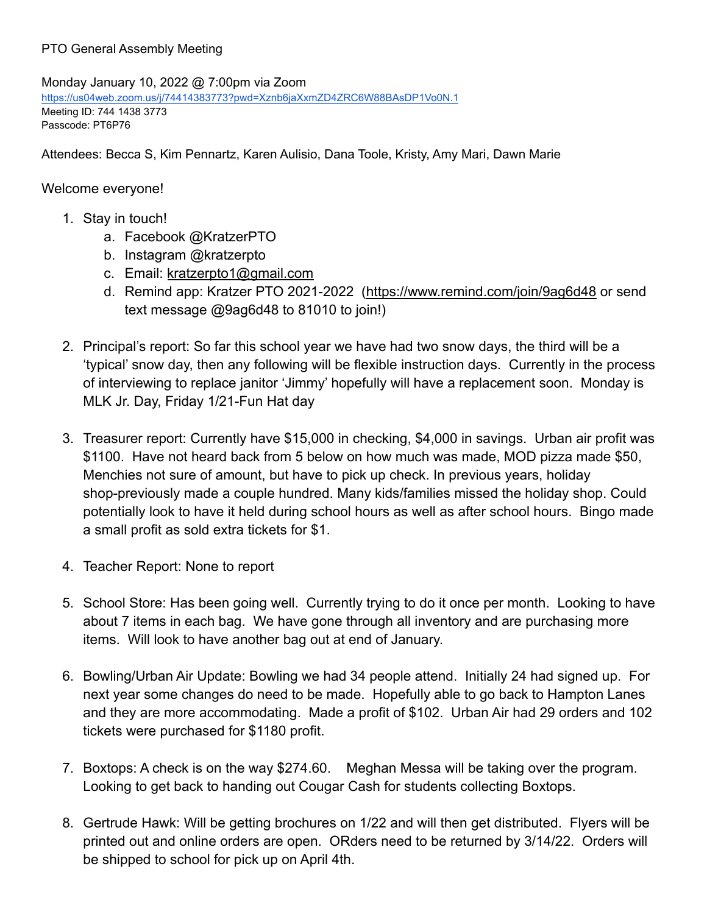## PTO General Assembly Meeting

Monday January 10, 2022 @ 7:00pm via Zoom [https://us04web.zoom.us/j/74414383773?pwd=Xznb6jaXxmZD4ZRC6W88BAsDP1Vo0N.1](http://track.spe.schoolmessenger.com/f/a/hCtVBPPzEpT6pDmKYBVebw~~/AAAAAQA~/RgRjvFHLP0RKaHR0cHM6Ly91czA0d2ViLnpvb20udXMvai83NDQxNDM4Mzc3Mz9wd2Q9WHpuYjZqYVh4bVpENFpSQzZXODhCQXNEUDFWbzBOLjFXB3NjaG9vbG1CCmHVSx7bYdwVZnZSGmFsbGlzb24uaGFiZXJtYW5AeWFob28uY29tWAQAAAAB) Meeting ID: 744 1438 3773 Passcode: PT6P76

Attendees: Becca S, Kim Pennartz, Karen Aulisio, Dana Toole, Kristy, Amy Mari, Dawn Marie

## Welcome everyone!

- 1. Stay in touch!
	- a. Facebook @KratzerPTO
	- b. Instagram @kratzerpto
	- c. Email: [kratzerpto1@gmail.com](mailto:kratzerpto1@gmail.com)
	- d. Remind app: Kratzer PTO 2021-2022 [\(https://www.remind.com/join/9ag6d48](https://www.remind.com/join/9ag6d48) or send text message @9ag6d48 to 81010 to join!)
- 2. Principal's report: So far this school year we have had two snow days, the third will be a 'typical' snow day, then any following will be flexible instruction days. Currently in the process of interviewing to replace janitor 'Jimmy' hopefully will have a replacement soon. Monday is MLK Jr. Day, Friday 1/21-Fun Hat day
- 3. Treasurer report: Currently have \$15,000 in checking, \$4,000 in savings. Urban air profit was \$1100. Have not heard back from 5 below on how much was made, MOD pizza made \$50, Menchies not sure of amount, but have to pick up check. In previous years, holiday shop-previously made a couple hundred. Many kids/families missed the holiday shop. Could potentially look to have it held during school hours as well as after school hours. Bingo made a small profit as sold extra tickets for \$1.
- 4. Teacher Report: None to report
- 5. School Store: Has been going well. Currently trying to do it once per month. Looking to have about 7 items in each bag. We have gone through all inventory and are purchasing more items. Will look to have another bag out at end of January.
- 6. Bowling/Urban Air Update: Bowling we had 34 people attend. Initially 24 had signed up. For next year some changes do need to be made. Hopefully able to go back to Hampton Lanes and they are more accommodating. Made a profit of \$102. Urban Air had 29 orders and 102 tickets were purchased for \$1180 profit.
- 7. Boxtops: A check is on the way \$274.60. Meghan Messa will be taking over the program. Looking to get back to handing out Cougar Cash for students collecting Boxtops.
- 8. Gertrude Hawk: Will be getting brochures on 1/22 and will then get distributed. Flyers will be printed out and online orders are open. ORders need to be returned by 3/14/22. Orders will be shipped to school for pick up on April 4th.